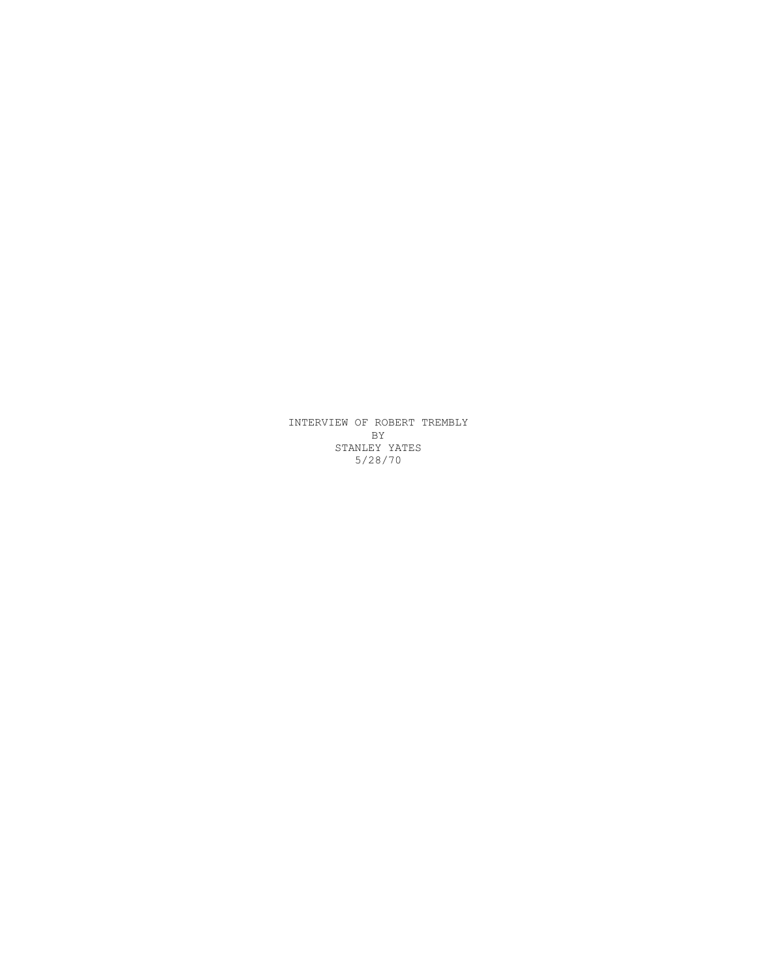INTERVIEW OF ROBERT TREMBLY BY STANLEY YATES 5/28/70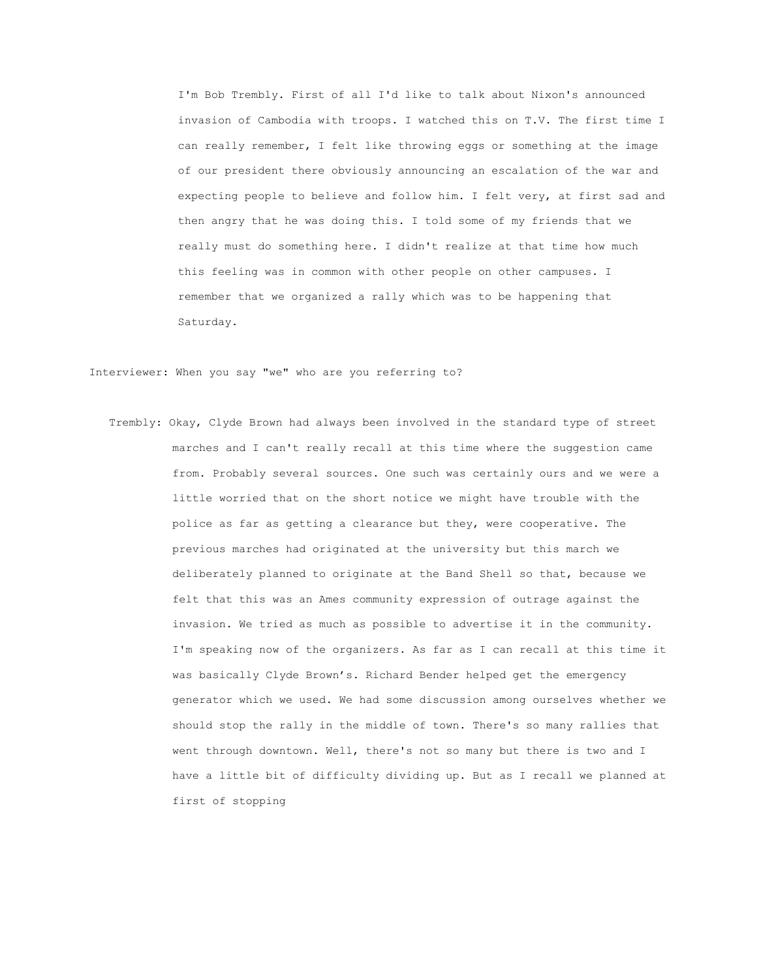I'm Bob Trembly. First of all I'd like to talk about Nixon's announced invasion of Cambodia with troops. I watched this on T.V. The first time I can really remember, I felt like throwing eggs or something at the image of our president there obviously announcing an escalation of the war and expecting people to believe and follow him. I felt very, at first sad and then angry that he was doing this. I told some of my friends that we really must do something here. I didn't realize at that time how much this feeling was in common with other people on other campuses. I remember that we organized a rally which was to be happening that Saturday.

Interviewer: When you say "we" who are you referring to?

 Trembly: Okay, Clyde Brown had always been involved in the standard type of street marches and I can't really recall at this time where the suggestion came from. Probably several sources. One such was certainly ours and we were a little worried that on the short notice we might have trouble with the police as far as getting a clearance but they, were cooperative. The previous marches had originated at the university but this march we deliberately planned to originate at the Band Shell so that, because we felt that this was an Ames community expression of outrage against the invasion. We tried as much as possible to advertise it in the community. I'm speaking now of the organizers. As far as I can recall at this time it was basically Clyde Brown's. Richard Bender helped get the emergency generator which we used. We had some discussion among ourselves whether we should stop the rally in the middle of town. There's so many rallies that went through downtown. Well, there's not so many but there is two and I have a little bit of difficulty dividing up. But as I recall we planned at first of stopping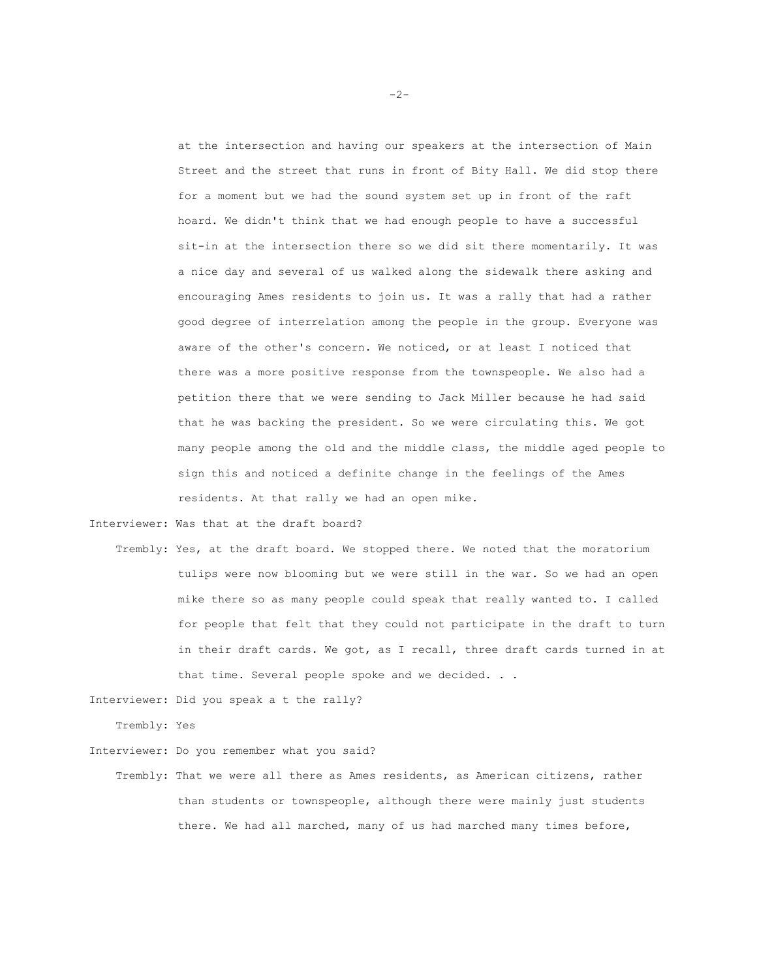at the intersection and having our speakers at the intersection of Main Street and the street that runs in front of Bity Hall. We did stop there for a moment but we had the sound system set up in front of the raft hoard. We didn't think that we had enough people to have a successful sit-in at the intersection there so we did sit there momentarily. It was a nice day and several of us walked along the sidewalk there asking and encouraging Ames residents to join us. It was a rally that had a rather good degree of interrelation among the people in the group. Everyone was aware of the other's concern. We noticed, or at least I noticed that there was a more positive response from the townspeople. We also had a petition there that we were sending to Jack Miller because he had said that he was backing the president. So we were circulating this. We got many people among the old and the middle class, the middle aged people to sign this and noticed a definite change in the feelings of the Ames residents. At that rally we had an open mike.

Interviewer: Was that at the draft board?

 Trembly: Yes, at the draft board. We stopped there. We noted that the moratorium tulips were now blooming but we were still in the war. So we had an open mike there so as many people could speak that really wanted to. I called for people that felt that they could not participate in the draft to turn in their draft cards. We got, as I recall, three draft cards turned in at that time. Several people spoke and we decided. . .

Interviewer: Did you speak a t the rally?

Trembly: Yes

Interviewer: Do you remember what you said?

 Trembly: That we were all there as Ames residents, as American citizens, rather than students or townspeople, although there were mainly just students there. We had all marched, many of us had marched many times before,

-2-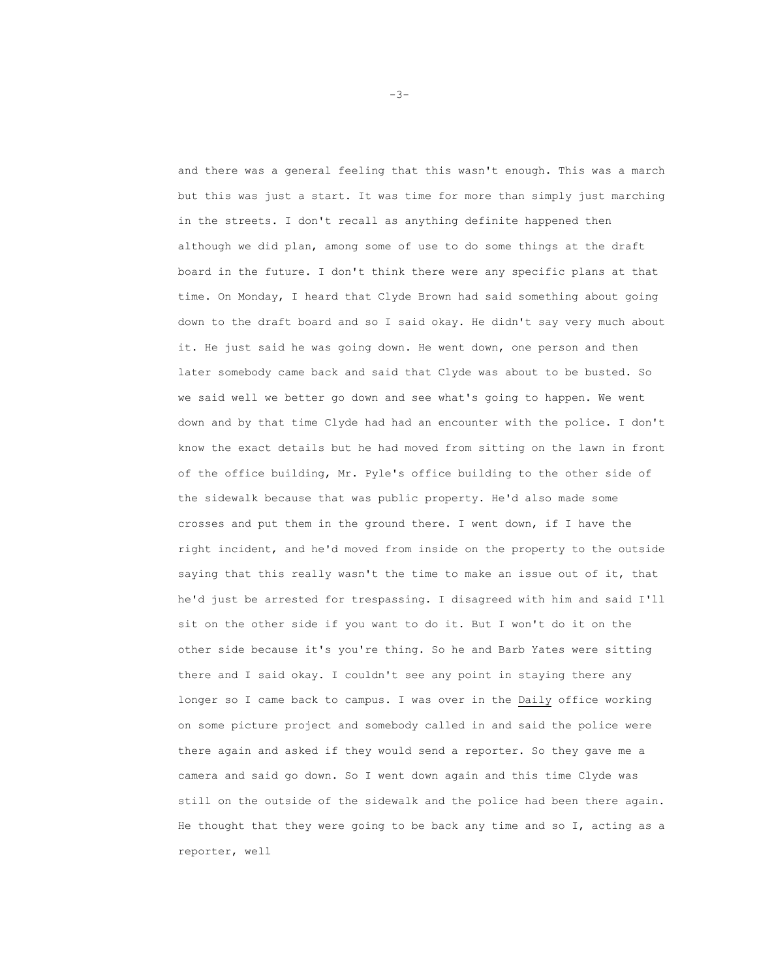and there was a general feeling that this wasn't enough. This was a march but this was just a start. It was time for more than simply just marching in the streets. I don't recall as anything definite happened then although we did plan, among some of use to do some things at the draft board in the future. I don't think there were any specific plans at that time. On Monday, I heard that Clyde Brown had said something about going down to the draft board and so I said okay. He didn't say very much about it. He just said he was going down. He went down, one person and then later somebody came back and said that Clyde was about to be busted. So we said well we better go down and see what's going to happen. We went down and by that time Clyde had had an encounter with the police. I don't know the exact details but he had moved from sitting on the lawn in front of the office building, Mr. Pyle's office building to the other side of the sidewalk because that was public property. He'd also made some crosses and put them in the ground there. I went down, if I have the right incident, and he'd moved from inside on the property to the outside saying that this really wasn't the time to make an issue out of it, that he'd just be arrested for trespassing. I disagreed with him and said I'll sit on the other side if you want to do it. But I won't do it on the other side because it's you're thing. So he and Barb Yates were sitting there and I said okay. I couldn't see any point in staying there any longer so I came back to campus. I was over in the Daily office working on some picture project and somebody called in and said the police were there again and asked if they would send a reporter. So they gave me a camera and said go down. So I went down again and this time Clyde was still on the outside of the sidewalk and the police had been there again. He thought that they were going to be back any time and so I, acting as a reporter, well

— 3— население в село в село в село в село в село в село в село в село в село в село в село в село в село в се<br>Село в село в село в село в село в село в село в село в село в село в село в село в село в село в село в село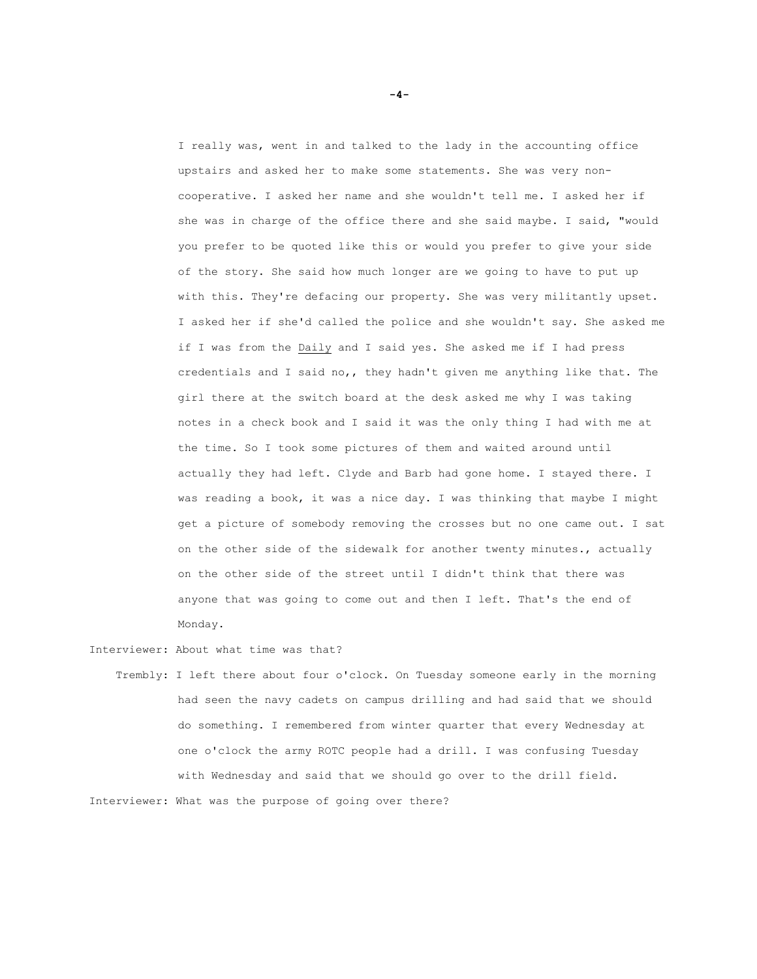I really was, went in and talked to the lady in the accounting office upstairs and asked her to make some statements. She was very noncooperative. I asked her name and she wouldn't tell me. I asked her if she was in charge of the office there and she said maybe. I said, "would you prefer to be quoted like this or would you prefer to give your side of the story. She said how much longer are we going to have to put up with this. They're defacing our property. She was very militantly upset. I asked her if she'd called the police and she wouldn't say. She asked me if I was from the Daily and I said yes. She asked me if I had press credentials and I said no,, they hadn't given me anything like that. The girl there at the switch board at the desk asked me why I was taking notes in a check book and I said it was the only thing I had with me at the time. So I took some pictures of them and waited around until actually they had left. Clyde and Barb had gone home. I stayed there. I was reading a book, it was a nice day. I was thinking that maybe I might get a picture of somebody removing the crosses but no one came out. I sat on the other side of the sidewalk for another twenty minutes., actually on the other side of the street until I didn't think that there was anyone that was going to come out and then I left. That's the end of Monday.

Interviewer: About what time was that?

 Trembly: I left there about four o'clock. On Tuesday someone early in the morning had seen the navy cadets on campus drilling and had said that we should do something. I remembered from winter quarter that every Wednesday at one o'clock the army ROTC people had a drill. I was confusing Tuesday with Wednesday and said that we should go over to the drill field. Interviewer: What was the purpose of going over there?

**-4-**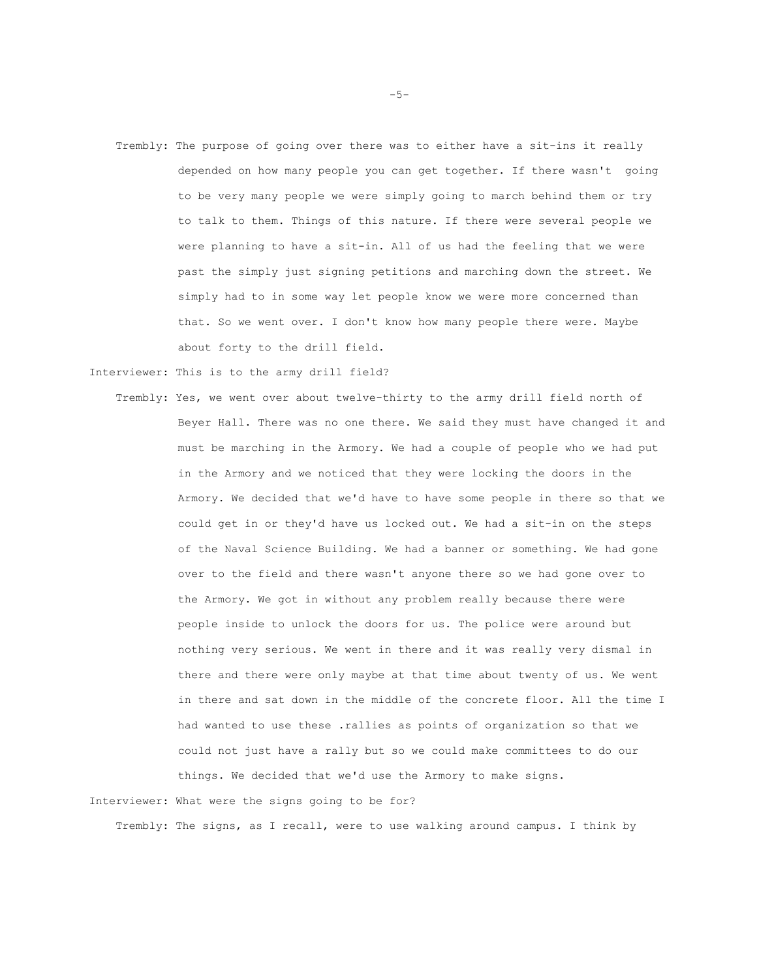Trembly: The purpose of going over there was to either have a sit-ins it really depended on how many people you can get together. If there wasn't going to be very many people we were simply going to march behind them or try to talk to them. Things of this nature. If there were several people we were planning to have a sit-in. All of us had the feeling that we were past the simply just signing petitions and marching down the street. We simply had to in some way let people know we were more concerned than that. So we went over. I don't know how many people there were. Maybe about forty to the drill field.

Interviewer: This is to the army drill field?

 Trembly: Yes, we went over about twelve-thirty to the army drill field north of Beyer Hall. There was no one there. We said they must have changed it and must be marching in the Armory. We had a couple of people who we had put in the Armory and we noticed that they were locking the doors in the Armory. We decided that we'd have to have some people in there so that we could get in or they'd have us locked out. We had a sit-in on the steps of the Naval Science Building. We had a banner or something. We had gone over to the field and there wasn't anyone there so we had gone over to the Armory. We got in without any problem really because there were people inside to unlock the doors for us. The police were around but nothing very serious. We went in there and it was really very dismal in there and there were only maybe at that time about twenty of us. We went in there and sat down in the middle of the concrete floor. All the time I had wanted to use these .rallies as points of organization so that we could not just have a rally but so we could make committees to do our things. We decided that we'd use the Armory to make signs.

Interviewer: What were the signs going to be for?

Trembly: The signs, as I recall, were to use walking around campus. I think by

 $-5-$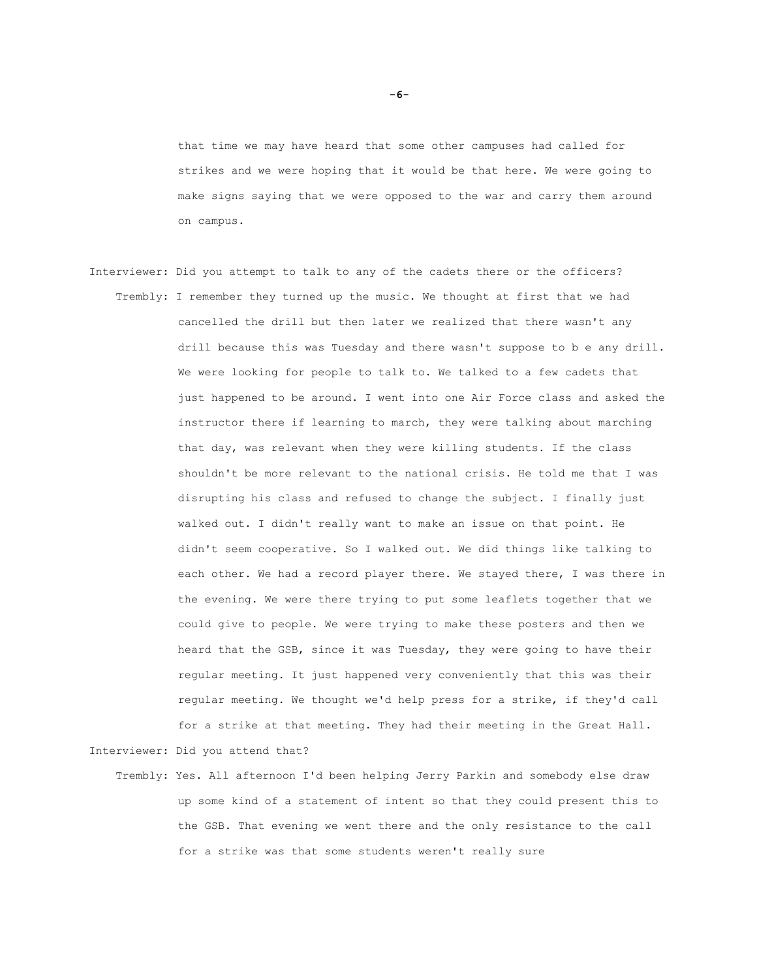that time we may have heard that some other campuses had called for strikes and we were hoping that it would be that here. We were going to make signs saying that we were opposed to the war and carry them around on campus.

- Interviewer: Did you attempt to talk to any of the cadets there or the officers? Trembly: I remember they turned up the music. We thought at first that we had cancelled the drill but then later we realized that there wasn't any drill because this was Tuesday and there wasn't suppose to b e any drill. We were looking for people to talk to. We talked to a few cadets that just happened to be around. I went into one Air Force class and asked the instructor there if learning to march, they were talking about marching that day, was relevant when they were killing students. If the class shouldn't be more relevant to the national crisis. He told me that I was disrupting his class and refused to change the subject. I finally just walked out. I didn't really want to make an issue on that point. He didn't seem cooperative. So I walked out. We did things like talking to each other. We had a record player there. We stayed there, I was there in the evening. We were there trying to put some leaflets together that we could give to people. We were trying to make these posters and then we heard that the GSB, since it was Tuesday, they were going to have their regular meeting. It just happened very conveniently that this was their regular meeting. We thought we'd help press for a strike, if they'd call for a strike at that meeting. They had their meeting in the Great Hall. Interviewer: Did you attend that?
	- Trembly: Yes. All afternoon I'd been helping Jerry Parkin and somebody else draw up some kind of a statement of intent so that they could present this to the GSB. That evening we went there and the only resistance to the call for a strike was that some students weren't really sure

**-6-**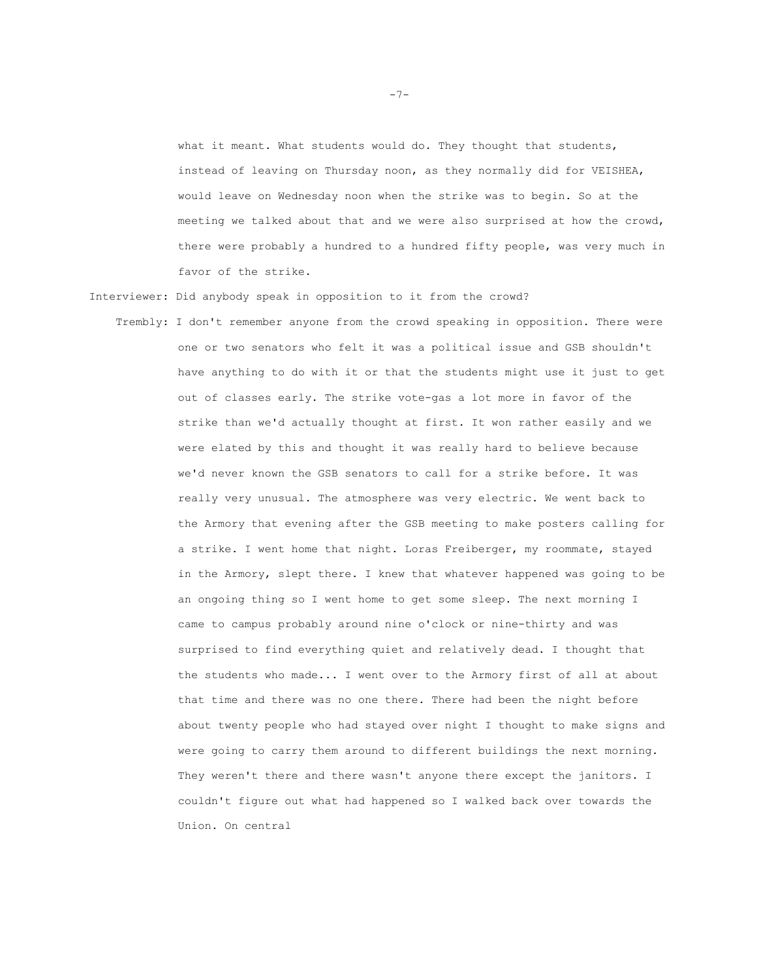what it meant. What students would do. They thought that students, instead of leaving on Thursday noon, as they normally did for VEISHEA, would leave on Wednesday noon when the strike was to begin. So at the meeting we talked about that and we were also surprised at how the crowd, there were probably a hundred to a hundred fifty people, was very much in favor of the strike.

Interviewer: Did anybody speak in opposition to it from the crowd?

 Trembly: I don't remember anyone from the crowd speaking in opposition. There were one or two senators who felt it was a political issue and GSB shouldn't have anything to do with it or that the students might use it just to get out of classes early. The strike vote-gas a lot more in favor of the strike than we'd actually thought at first. It won rather easily and we were elated by this and thought it was really hard to believe because we'd never known the GSB senators to call for a strike before. It was really very unusual. The atmosphere was very electric. We went back to the Armory that evening after the GSB meeting to make posters calling for a strike. I went home that night. Loras Freiberger, my roommate, stayed in the Armory, slept there. I knew that whatever happened was going to be an ongoing thing so I went home to get some sleep. The next morning I came to campus probably around nine o'clock or nine-thirty and was surprised to find everything quiet and relatively dead. I thought that the students who made... I went over to the Armory first of all at about that time and there was no one there. There had been the night before about twenty people who had stayed over night I thought to make signs and were going to carry them around to different buildings the next morning. They weren't there and there wasn't anyone there except the janitors. I couldn't figure out what had happened so I walked back over towards the Union. On central

 $-7-$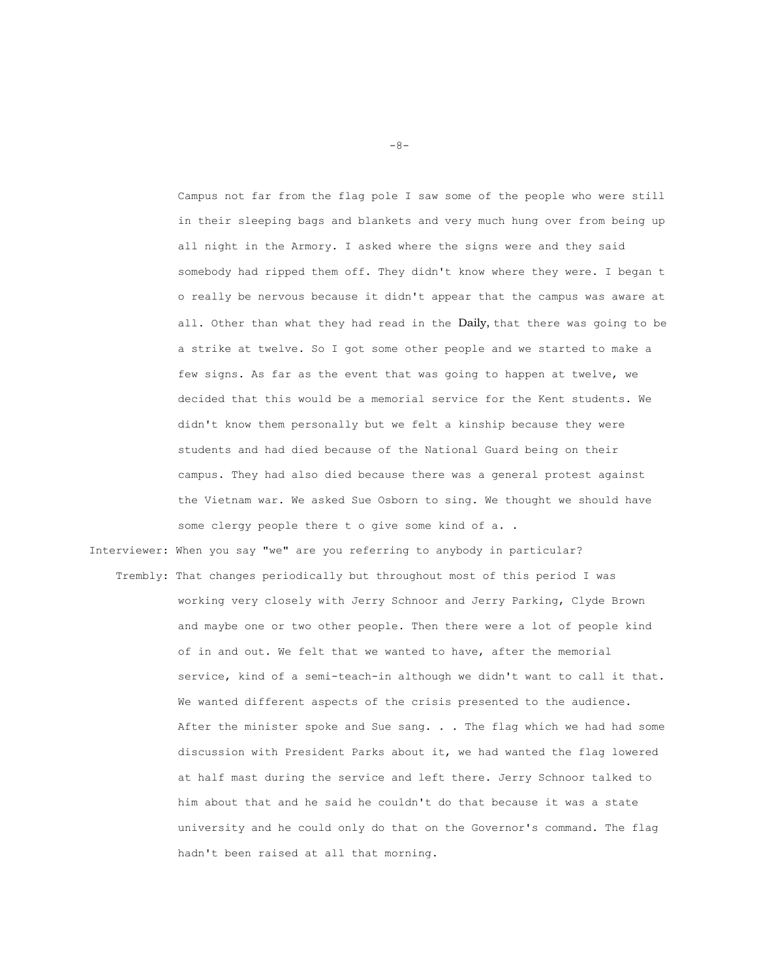Campus not far from the flag pole I saw some of the people who were still in their sleeping bags and blankets and very much hung over from being up all night in the Armory. I asked where the signs were and they said somebody had ripped them off. They didn't know where they were. I began t o really be nervous because it didn't appear that the campus was aware at all. Other than what they had read in the Daily, that there was going to be a strike at twelve. So I got some other people and we started to make a few signs. As far as the event that was going to happen at twelve, we decided that this would be a memorial service for the Kent students. We didn't know them personally but we felt a kinship because they were students and had died because of the National Guard being on their campus. They had also died because there was a general protest against the Vietnam war. We asked Sue Osborn to sing. We thought we should have some clergy people there t o give some kind of a. .

Interviewer: When you say "we" are you referring to anybody in particular?

 Trembly: That changes periodically but throughout most of this period I was working very closely with Jerry Schnoor and Jerry Parking, Clyde Brown and maybe one or two other people. Then there were a lot of people kind of in and out. We felt that we wanted to have, after the memorial service, kind of a semi-teach-in although we didn't want to call it that. We wanted different aspects of the crisis presented to the audience. After the minister spoke and Sue sang. . . The flag which we had had some discussion with President Parks about it, we had wanted the flag lowered at half mast during the service and left there. Jerry Schnoor talked to him about that and he said he couldn't do that because it was a state university and he could only do that on the Governor's command. The flag hadn't been raised at all that morning.

 $-8-$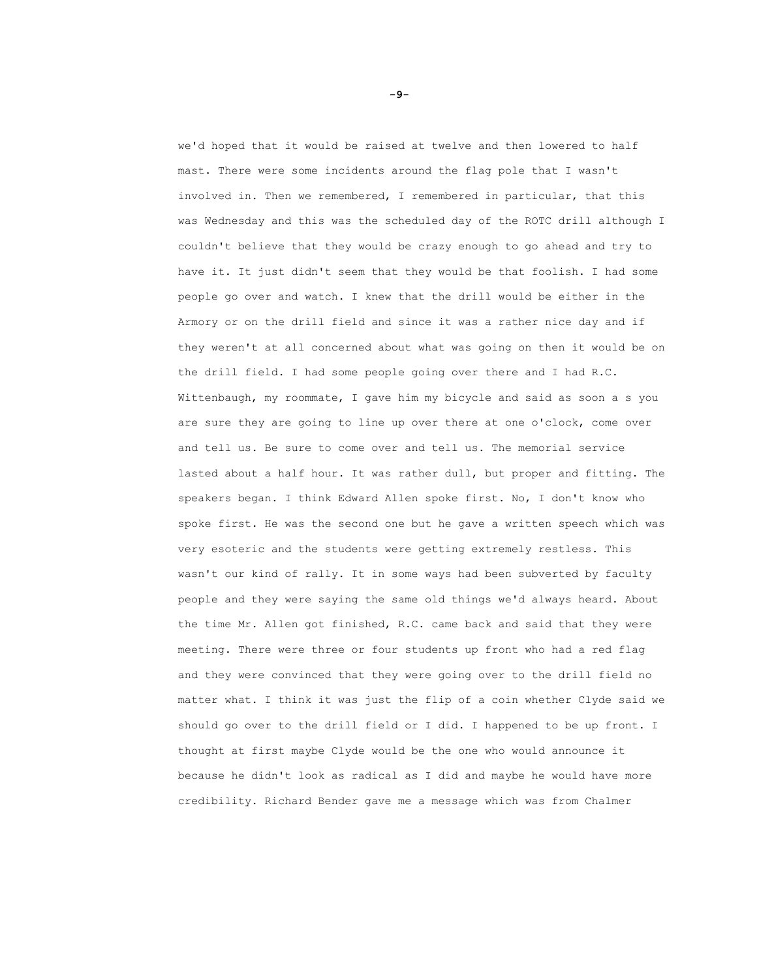we'd hoped that it would be raised at twelve and then lowered to half mast. There were some incidents around the flag pole that I wasn't involved in. Then we remembered, I remembered in particular, that this was Wednesday and this was the scheduled day of the ROTC drill although I couldn't believe that they would be crazy enough to go ahead and try to have it. It just didn't seem that they would be that foolish. I had some people go over and watch. I knew that the drill would be either in the Armory or on the drill field and since it was a rather nice day and if they weren't at all concerned about what was going on then it would be on the drill field. I had some people going over there and I had R.C. Wittenbaugh, my roommate, I gave him my bicycle and said as soon a s you are sure they are going to line up over there at one o'clock, come over and tell us. Be sure to come over and tell us. The memorial service lasted about a half hour. It was rather dull, but proper and fitting. The speakers began. I think Edward Allen spoke first. No, I don't know who spoke first. He was the second one but he gave a written speech which was very esoteric and the students were getting extremely restless. This wasn't our kind of rally. It in some ways had been subverted by faculty people and they were saying the same old things we'd always heard. About the time Mr. Allen got finished, R.C. came back and said that they were meeting. There were three or four students up front who had a red flag and they were convinced that they were going over to the drill field no matter what. I think it was just the flip of a coin whether Clyde said we should go over to the drill field or I did. I happened to be up front. I thought at first maybe Clyde would be the one who would announce it because he didn't look as radical as I did and maybe he would have more credibility. Richard Bender gave me a message which was from Chalmer

**-9-**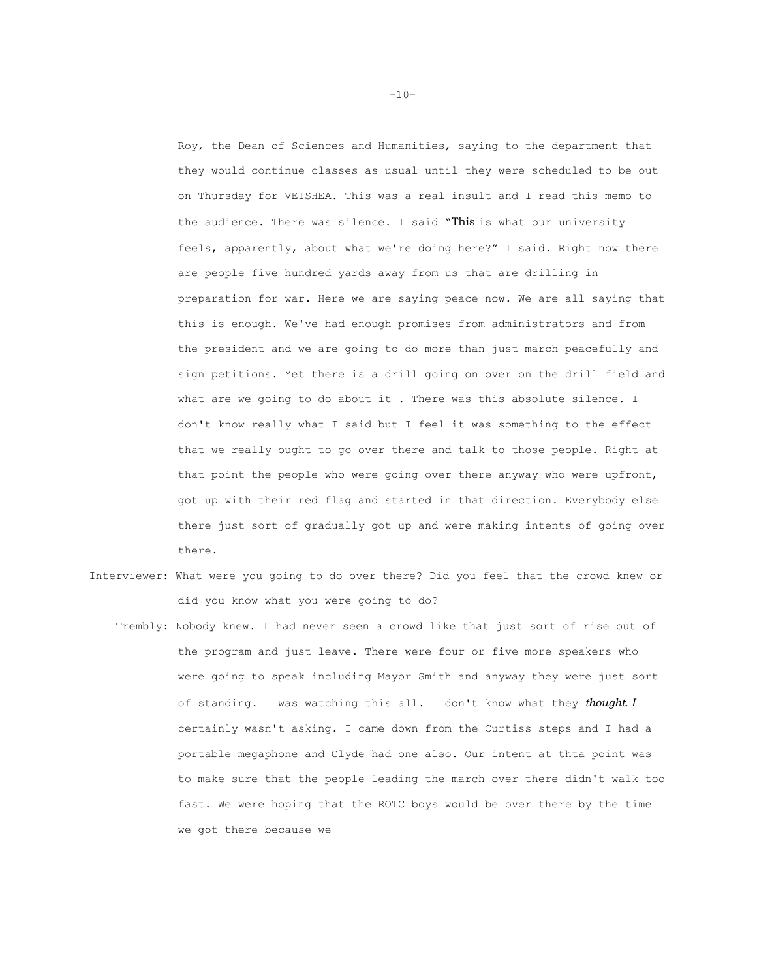Roy, the Dean of Sciences and Humanities, saying to the department that they would continue classes as usual until they were scheduled to be out on Thursday for VEISHEA. This was a real insult and I read this memo to the audience. There was silence. I said "This is what our university feels, apparently, about what we're doing here?" I said. Right now there are people five hundred yards away from us that are drilling in preparation for war. Here we are saying peace now. We are all saying that this is enough. We've had enough promises from administrators and from the president and we are going to do more than just march peacefully and sign petitions. Yet there is a drill going on over on the drill field and what are we going to do about it . There was this absolute silence. I don't know really what I said but I feel it was something to the effect that we really ought to go over there and talk to those people. Right at that point the people who were going over there anyway who were upfront, got up with their red flag and started in that direction. Everybody else there just sort of gradually got up and were making intents of going over there.

- Interviewer: What were you going to do over there? Did you feel that the crowd knew or did you know what you were going to do?
	- Trembly: Nobody knew. I had never seen a crowd like that just sort of rise out of the program and just leave. There were four or five more speakers who were going to speak including Mayor Smith and anyway they were just sort of standing. I was watching this all. I don't know what they *thought. I*  certainly wasn't asking. I came down from the Curtiss steps and I had a portable megaphone and Clyde had one also. Our intent at thta point was to make sure that the people leading the march over there didn't walk too fast. We were hoping that the ROTC boys would be over there by the time we got there because we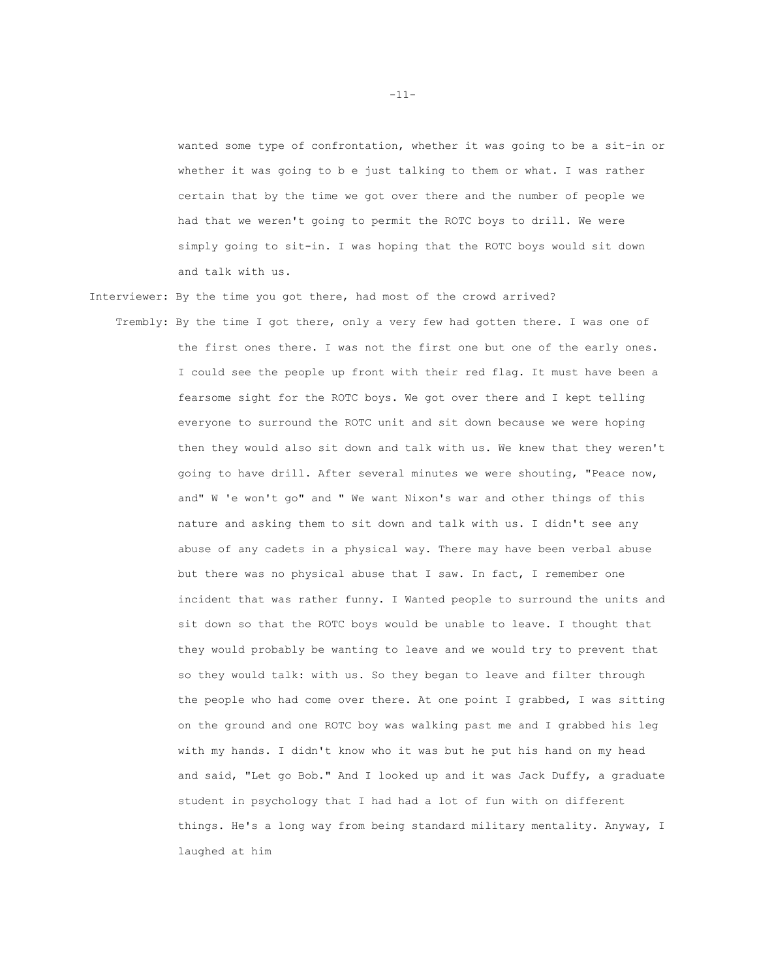wanted some type of confrontation, whether it was going to be a sit-in or whether it was going to b e just talking to them or what. I was rather certain that by the time we got over there and the number of people we had that we weren't going to permit the ROTC boys to drill. We were simply going to sit-in. I was hoping that the ROTC boys would sit down and talk with us.

- Interviewer: By the time you got there, had most of the crowd arrived?
	- Trembly: By the time I got there, only a very few had gotten there. I was one of the first ones there. I was not the first one but one of the early ones. I could see the people up front with their red flag. It must have been a fearsome sight for the ROTC boys. We got over there and I kept telling everyone to surround the ROTC unit and sit down because we were hoping then they would also sit down and talk with us. We knew that they weren't going to have drill. After several minutes we were shouting, "Peace now, and" W 'e won't go" and " We want Nixon's war and other things of this nature and asking them to sit down and talk with us. I didn't see any abuse of any cadets in a physical way. There may have been verbal abuse but there was no physical abuse that I saw. In fact, I remember one incident that was rather funny. I Wanted people to surround the units and sit down so that the ROTC boys would be unable to leave. I thought that they would probably be wanting to leave and we would try to prevent that so they would talk: with us. So they began to leave and filter through the people who had come over there. At one point I grabbed, I was sitting on the ground and one ROTC boy was walking past me and I grabbed his leg with my hands. I didn't know who it was but he put his hand on my head and said, "Let go Bob." And I looked up and it was Jack Duffy, a graduate student in psychology that I had had a lot of fun with on different things. He's a long way from being standard military mentality. Anyway, I laughed at him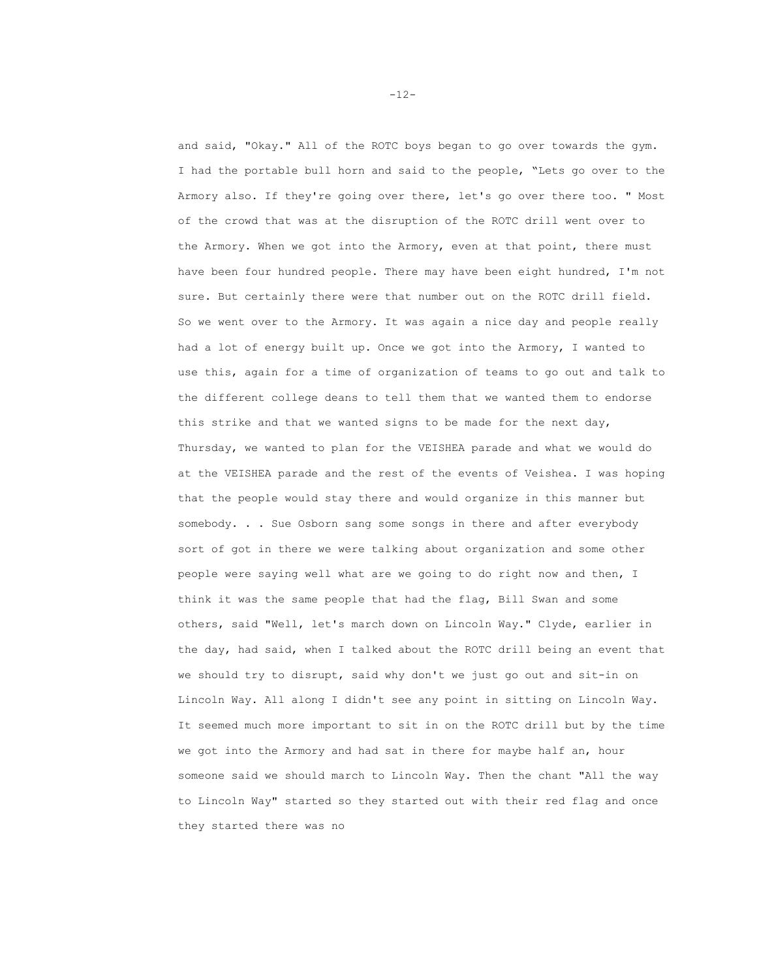and said, "Okay." All of the ROTC boys began to go over towards the gym. I had the portable bull horn and said to the people, "Lets go over to the Armory also. If they're going over there, let's go over there too. " Most of the crowd that was at the disruption of the ROTC drill went over to the Armory. When we got into the Armory, even at that point, there must have been four hundred people. There may have been eight hundred, I'm not sure. But certainly there were that number out on the ROTC drill field. So we went over to the Armory. It was again a nice day and people really had a lot of energy built up. Once we got into the Armory, I wanted to use this, again for a time of organization of teams to go out and talk to the different college deans to tell them that we wanted them to endorse this strike and that we wanted signs to be made for the next day, Thursday, we wanted to plan for the VEISHEA parade and what we would do at the VEISHEA parade and the rest of the events of Veishea. I was hoping that the people would stay there and would organize in this manner but somebody. . . Sue Osborn sang some songs in there and after everybody sort of got in there we were talking about organization and some other people were saying well what are we going to do right now and then, I think it was the same people that had the flag, Bill Swan and some others, said "Well, let's march down on Lincoln Way." Clyde, earlier in the day, had said, when I talked about the ROTC drill being an event that we should try to disrupt, said why don't we just go out and sit-in on Lincoln Way. All along I didn't see any point in sitting on Lincoln Way. It seemed much more important to sit in on the ROTC drill but by the time we got into the Armory and had sat in there for maybe half an, hour someone said we should march to Lincoln Way. Then the chant "All the way to Lincoln Way" started so they started out with their red flag and once they started there was no

-12-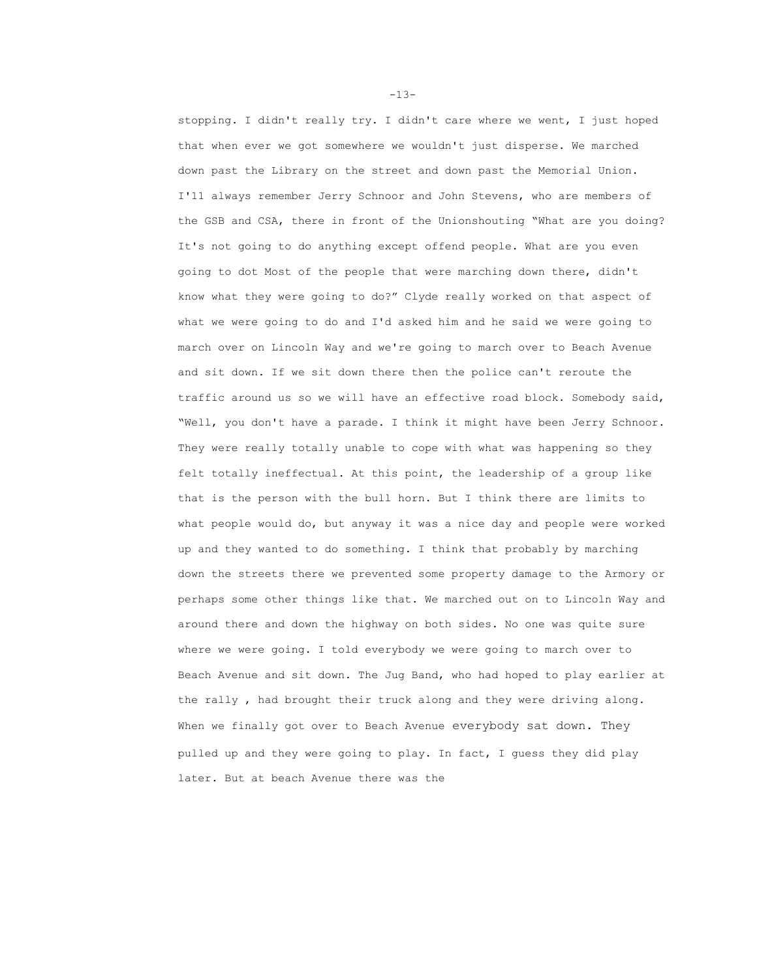stopping. I didn't really try. I didn't care where we went, I just hoped that when ever we got somewhere we wouldn't just disperse. We marched down past the Library on the street and down past the Memorial Union. I'11 always remember Jerry Schnoor and John Stevens, who are members of the GSB and CSA, there in front of the Unionshouting "What are you doing? It's not going to do anything except offend people. What are you even going to dot Most of the people that were marching down there, didn't know what they were going to do?" Clyde really worked on that aspect of what we were going to do and I'd asked him and he said we were going to march over on Lincoln Way and we're going to march over to Beach Avenue and sit down. If we sit down there then the police can't reroute the traffic around us so we will have an effective road block. Somebody said, "Well, you don't have a parade. I think it might have been Jerry Schnoor. They were really totally unable to cope with what was happening so they felt totally ineffectual. At this point, the leadership of a group like that is the person with the bull horn. But I think there are limits to what people would do, but anyway it was a nice day and people were worked up and they wanted to do something. I think that probably by marching down the streets there we prevented some property damage to the Armory or perhaps some other things like that. We marched out on to Lincoln Way and around there and down the highway on both sides. No one was quite sure where we were going. I told everybody we were going to march over to Beach Avenue and sit down. The Jug Band, who had hoped to play earlier at the rally , had brought their truck along and they were driving along. When we finally got over to Beach Avenue everybody sat down. They pulled up and they were going to play. In fact, I guess they did play later. But at beach Avenue there was the

 $-13-$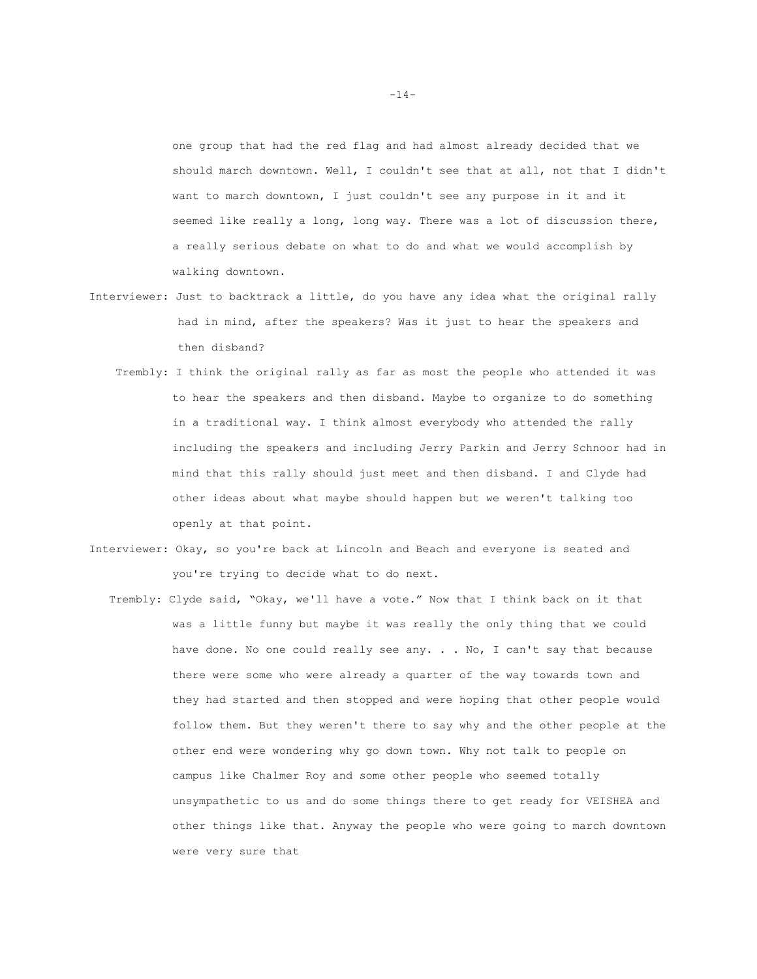one group that had the red flag and had almost already decided that we should march downtown. Well, I couldn't see that at all, not that I didn't want to march downtown, I just couldn't see any purpose in it and it seemed like really a long, long way. There was a lot of discussion there, a really serious debate on what to do and what we would accomplish by walking downtown.

- Interviewer: Just to backtrack a little, do you have any idea what the original rally had in mind, after the speakers? Was it just to hear the speakers and then disband?
	- Trembly: I think the original rally as far as most the people who attended it was to hear the speakers and then disband. Maybe to organize to do something in a traditional way. I think almost everybody who attended the rally including the speakers and including Jerry Parkin and Jerry Schnoor had in mind that this rally should just meet and then disband. I and Clyde had other ideas about what maybe should happen but we weren't talking too openly at that point.
- Interviewer: Okay, so you're back at Lincoln and Beach and everyone is seated and you're trying to decide what to do next.
	- Trembly: Clyde said, "Okay, we'll have a vote." Now that I think back on it that was a little funny but maybe it was really the only thing that we could have done. No one could really see any. . . No, I can't say that because there were some who were already a quarter of the way towards town and they had started and then stopped and were hoping that other people would follow them. But they weren't there to say why and the other people at the other end were wondering why go down town. Why not talk to people on campus like Chalmer Roy and some other people who seemed totally unsympathetic to us and do some things there to get ready for VEISHEA and other things like that. Anyway the people who were going to march downtown were very sure that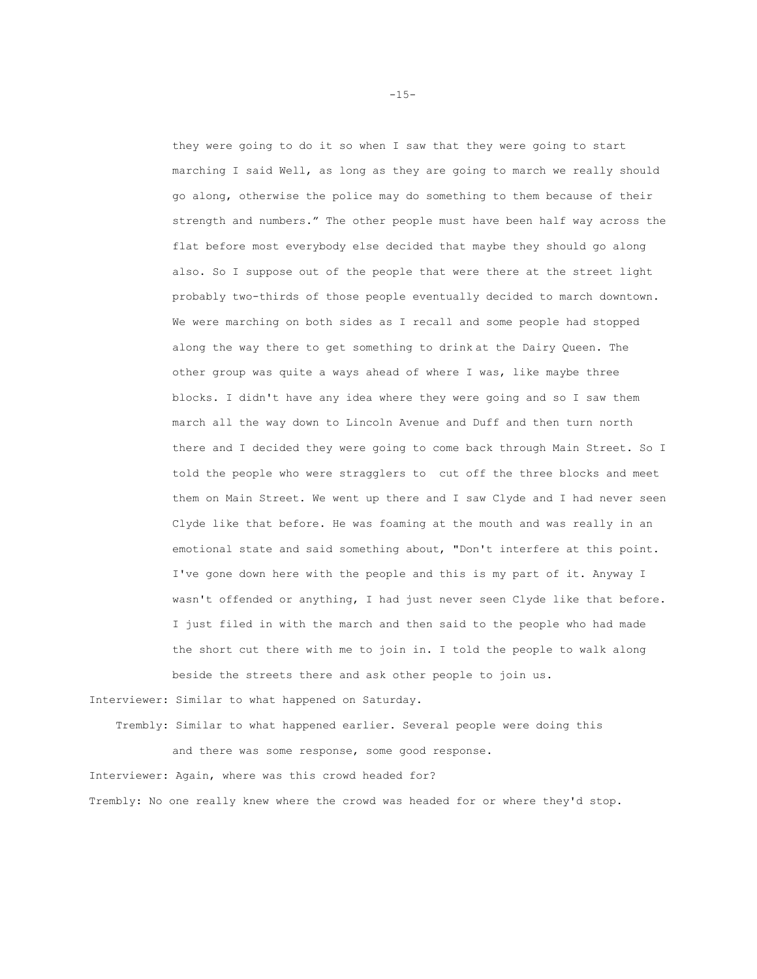they were going to do it so when I saw that they were going to start marching I said Well, as long as they are going to march we really should go along, otherwise the police may do something to them because of their strength and numbers." The other people must have been half way across the flat before most everybody else decided that maybe they should go along also. So I suppose out of the people that were there at the street light probably two-thirds of those people eventually decided to march downtown. We were marching on both sides as I recall and some people had stopped along the way there to get something to drink at the Dairy Queen. The other group was quite a ways ahead of where I was, like maybe three blocks. I didn't have any idea where they were going and so I saw them march all the way down to Lincoln Avenue and Duff and then turn north there and I decided they were going to come back through Main Street. So I told the people who were stragglers to cut off the three blocks and meet them on Main Street. We went up there and I saw Clyde and I had never seen Clyde like that before. He was foaming at the mouth and was really in an emotional state and said something about, "Don't interfere at this point. I've gone down here with the people and this is my part of it. Anyway I wasn't offended or anything, I had just never seen Clyde like that before. I just filed in with the march and then said to the people who had made the short cut there with me to join in. I told the people to walk along beside the streets there and ask other people to join us.

Interviewer: Similar to what happened on Saturday.

 Trembly: Similar to what happened earlier. Several people were doing this and there was some response, some good response. Interviewer: Again, where was this crowd headed for?

Trembly: No one really knew where the crowd was headed for or where they'd stop.

-15-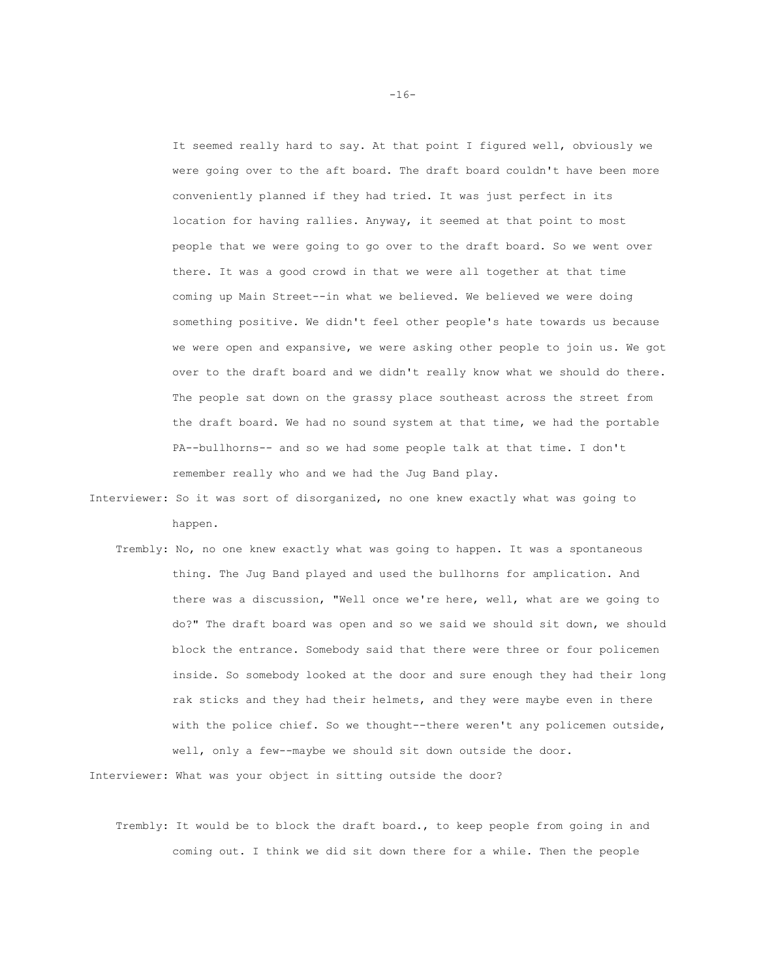It seemed really hard to say. At that point I figured well, obviously we were going over to the aft board. The draft board couldn't have been more conveniently planned if they had tried. It was just perfect in its location for having rallies. Anyway, it seemed at that point to most people that we were going to go over to the draft board. So we went over there. It was a good crowd in that we were all together at that time coming up Main Street--in what we believed. We believed we were doing something positive. We didn't feel other people's hate towards us because we were open and expansive, we were asking other people to join us. We got over to the draft board and we didn't really know what we should do there. The people sat down on the grassy place southeast across the street from the draft board. We had no sound system at that time, we had the portable PA--bullhorns-- and so we had some people talk at that time. I don't remember really who and we had the Jug Band play.

- Interviewer: So it was sort of disorganized, no one knew exactly what was going to happen.
	- Trembly: No, no one knew exactly what was going to happen. It was a spontaneous thing. The Jug Band played and used the bullhorns for amplication. And there was a discussion, "Well once we're here, well, what are we going to do?" The draft board was open and so we said we should sit down, we should block the entrance. Somebody said that there were three or four policemen inside. So somebody looked at the door and sure enough they had their long rak sticks and they had their helmets, and they were maybe even in there with the police chief. So we thought--there weren't any policemen outside, well, only a few--maybe we should sit down outside the door.

Interviewer: What was your object in sitting outside the door?

 Trembly: It would be to block the draft board., to keep people from going in and coming out. I think we did sit down there for a while. Then the people

-16-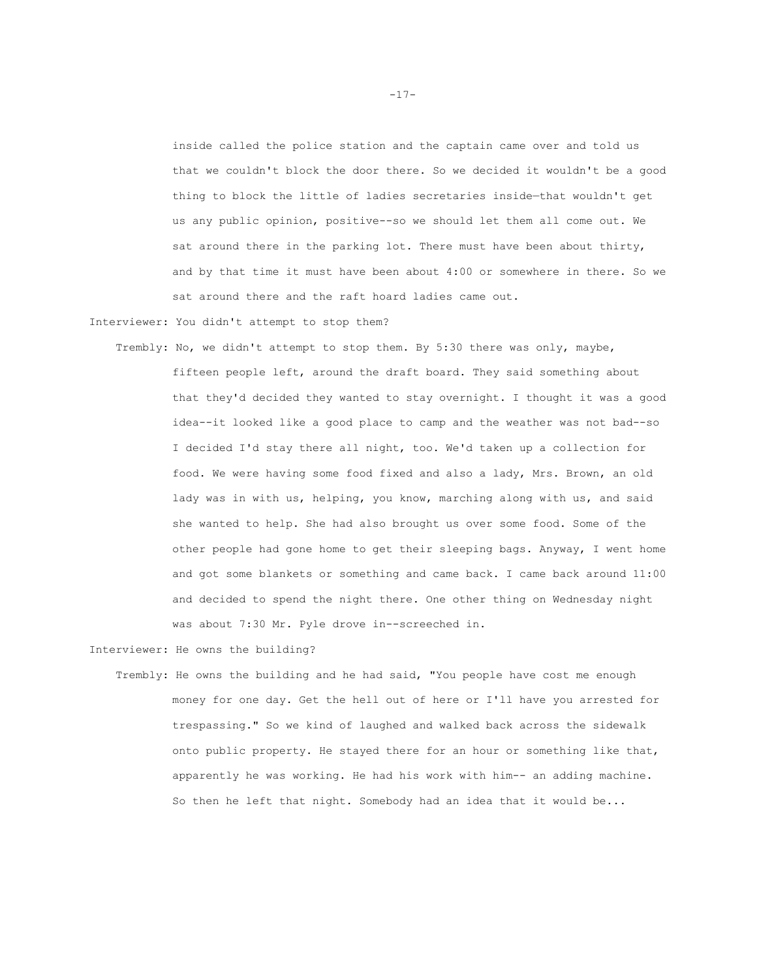inside called the police station and the captain came over and told us that we couldn't block the door there. So we decided it wouldn't be a good thing to block the little of ladies secretaries inside—that wouldn't get us any public opinion, positive--so we should let them all come out. We sat around there in the parking lot. There must have been about thirty, and by that time it must have been about 4:00 or somewhere in there. So we sat around there and the raft hoard ladies came out.

Interviewer: You didn't attempt to stop them?

 Trembly: No, we didn't attempt to stop them. By 5:30 there was only, maybe, fifteen people left, around the draft board. They said something about that they'd decided they wanted to stay overnight. I thought it was a good idea--it looked like a good place to camp and the weather was not bad--so I decided I'd stay there all night, too. We'd taken up a collection for food. We were having some food fixed and also a lady, Mrs. Brown, an old lady was in with us, helping, you know, marching along with us, and said she wanted to help. She had also brought us over some food. Some of the other people had gone home to get their sleeping bags. Anyway, I went home and got some blankets or something and came back. I came back around 11:00 and decided to spend the night there. One other thing on Wednesday night was about 7:30 Mr. Pyle drove in--screeched in.

Interviewer: He owns the building?

 Trembly: He owns the building and he had said, "You people have cost me enough money for one day. Get the hell out of here or I'll have you arrested for trespassing." So we kind of laughed and walked back across the sidewalk onto public property. He stayed there for an hour or something like that, apparently he was working. He had his work with him-- an adding machine. So then he left that night. Somebody had an idea that it would be...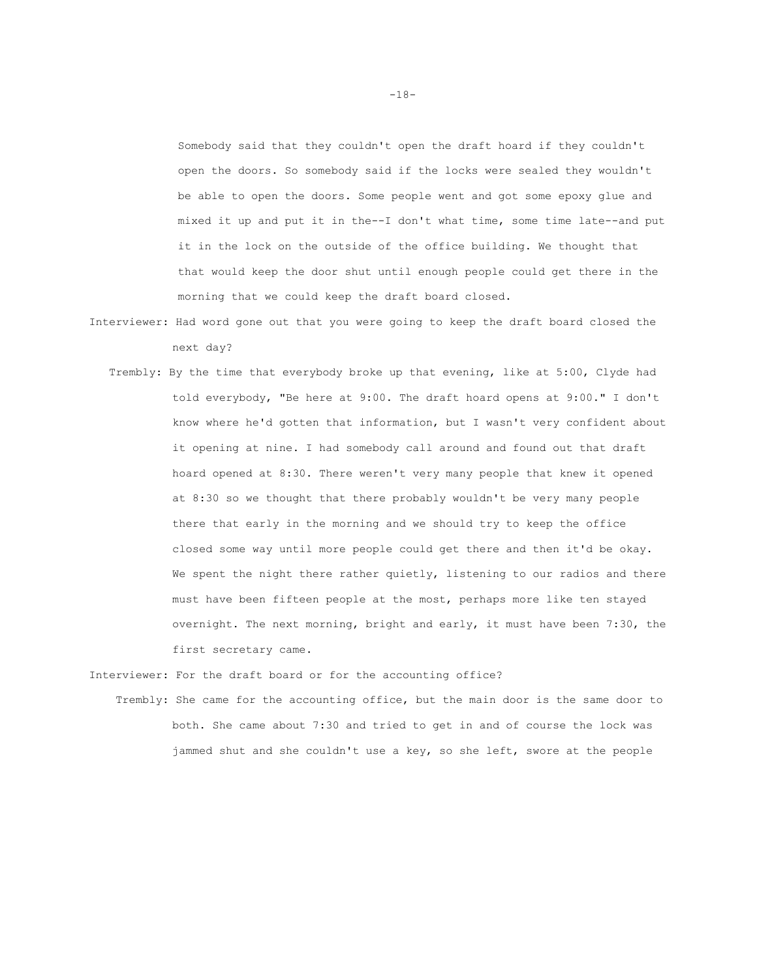Somebody said that they couldn't open the draft hoard if they couldn't open the doors. So somebody said if the locks were sealed they wouldn't be able to open the doors. Some people went and got some epoxy glue and mixed it up and put it in the--I don't what time, some time late--and put it in the lock on the outside of the office building. We thought that that would keep the door shut until enough people could get there in the morning that we could keep the draft board closed.

- Interviewer: Had word gone out that you were going to keep the draft board closed the next day?
	- Trembly: By the time that everybody broke up that evening, like at 5:00, Clyde had told everybody, "Be here at 9:00. The draft hoard opens at 9:00." I don't know where he'd gotten that information, but I wasn't very confident about it opening at nine. I had somebody call around and found out that draft hoard opened at 8:30. There weren't very many people that knew it opened at 8:30 so we thought that there probably wouldn't be very many people there that early in the morning and we should try to keep the office closed some way until more people could get there and then it'd be okay. We spent the night there rather quietly, listening to our radios and there must have been fifteen people at the most, perhaps more like ten stayed overnight. The next morning, bright and early, it must have been 7:30, the first secretary came.

Interviewer: For the draft board or for the accounting office?

 Trembly: She came for the accounting office, but the main door is the same door to both. She came about 7:30 and tried to get in and of course the lock was jammed shut and she couldn't use a key, so she left, swore at the people

-18-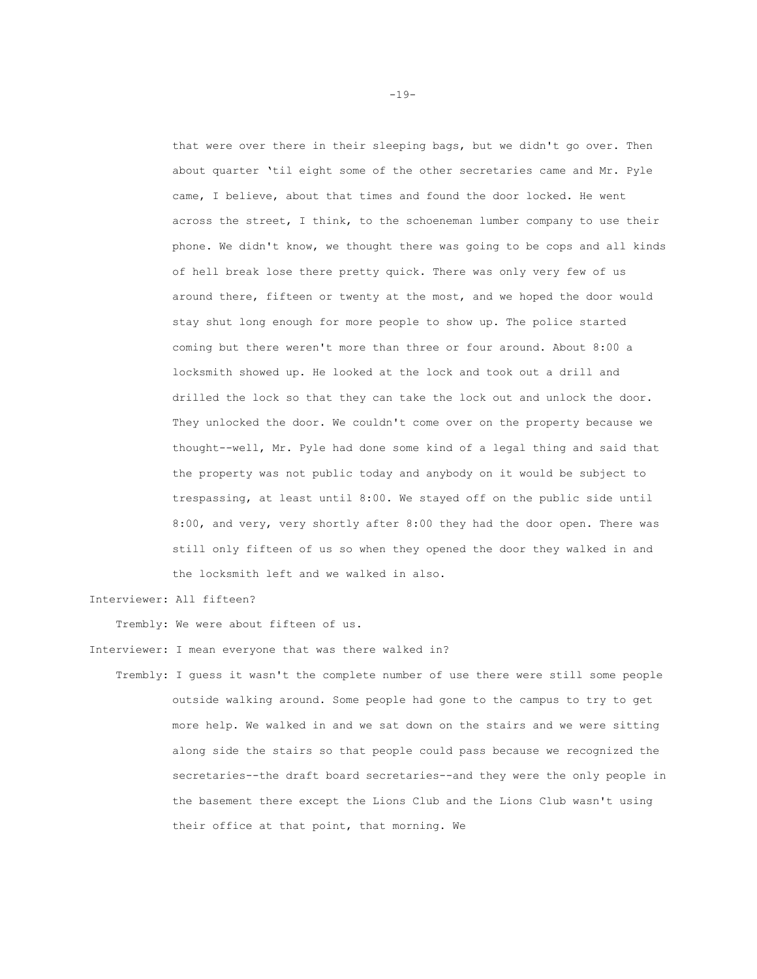that were over there in their sleeping bags, but we didn't go over. Then about quarter 'til eight some of the other secretaries came and Mr. Pyle came, I believe, about that times and found the door locked. He went across the street, I think, to the schoeneman lumber company to use their phone. We didn't know, we thought there was going to be cops and all kinds of hell break lose there pretty quick. There was only very few of us around there, fifteen or twenty at the most, and we hoped the door would stay shut long enough for more people to show up. The police started coming but there weren't more than three or four around. About 8:00 a locksmith showed up. He looked at the lock and took out a drill and drilled the lock so that they can take the lock out and unlock the door. They unlocked the door. We couldn't come over on the property because we thought--well, Mr. Pyle had done some kind of a legal thing and said that the property was not public today and anybody on it would be subject to trespassing, at least until 8:00. We stayed off on the public side until 8:00, and very, very shortly after 8:00 they had the door open. There was still only fifteen of us so when they opened the door they walked in and the locksmith left and we walked in also.

Interviewer: All fifteen?

Trembly: We were about fifteen of us.

Interviewer: I mean everyone that was there walked in?

 Trembly: I guess it wasn't the complete number of use there were still some people outside walking around. Some people had gone to the campus to try to get more help. We walked in and we sat down on the stairs and we were sitting along side the stairs so that people could pass because we recognized the secretaries--the draft board secretaries--and they were the only people in the basement there except the Lions Club and the Lions Club wasn't using their office at that point, that morning. We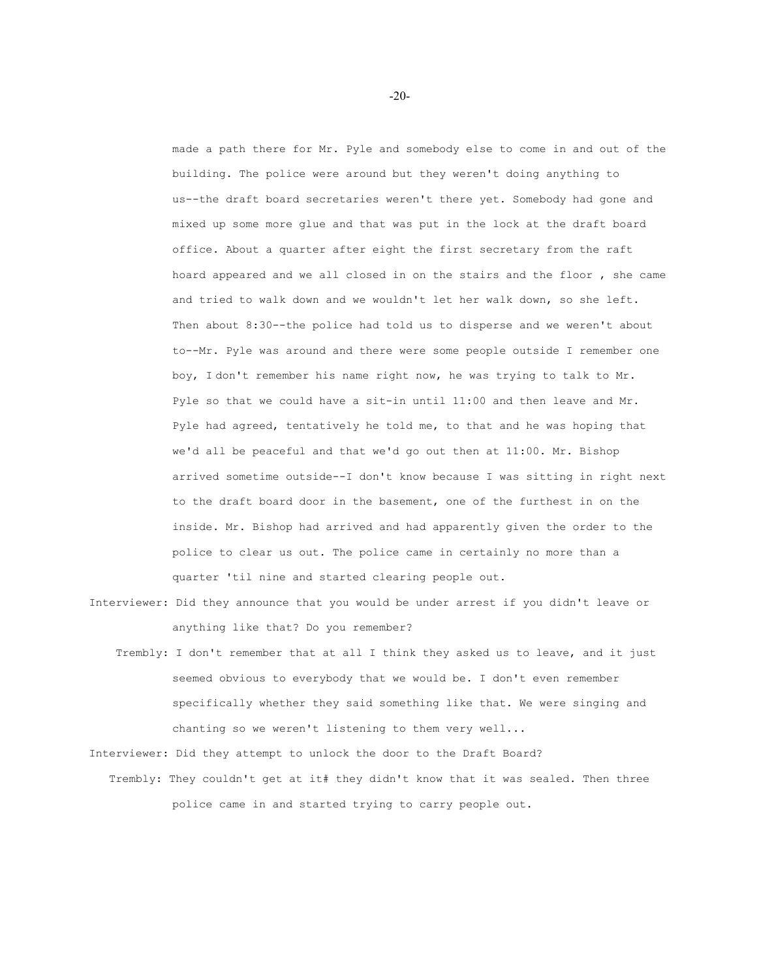made a path there for Mr. Pyle and somebody else to come in and out of the building. The police were around but they weren't doing anything to us--the draft board secretaries weren't there yet. Somebody had gone and mixed up some more glue and that was put in the lock at the draft board office. About a quarter after eight the first secretary from the raft hoard appeared and we all closed in on the stairs and the floor , she came and tried to walk down and we wouldn't let her walk down, so she left. Then about 8:30--the police had told us to disperse and we weren't about to--Mr. Pyle was around and there were some people outside I remember one boy, I don't remember his name right now, he was trying to talk to Mr. Pyle so that we could have a sit-in until 11:00 and then leave and Mr. Pyle had agreed, tentatively he told me, to that and he was hoping that we'd all be peaceful and that we'd go out then at 11:00. Mr. Bishop arrived sometime outside--I don't know because I was sitting in right next to the draft board door in the basement, one of the furthest in on the inside. Mr. Bishop had arrived and had apparently given the order to the police to clear us out. The police came in certainly no more than a quarter 'til nine and started clearing people out.

- Interviewer: Did they announce that you would be under arrest if you didn't leave or anything like that? Do you remember?
	- Trembly: I don't remember that at all I think they asked us to leave, and it just seemed obvious to everybody that we would be. I don't even remember specifically whether they said something like that. We were singing and chanting so we weren't listening to them very well...

Interviewer: Did they attempt to unlock the door to the Draft Board?

 Trembly: They couldn't get at it# they didn't know that it was sealed. Then three police came in and started trying to carry people out.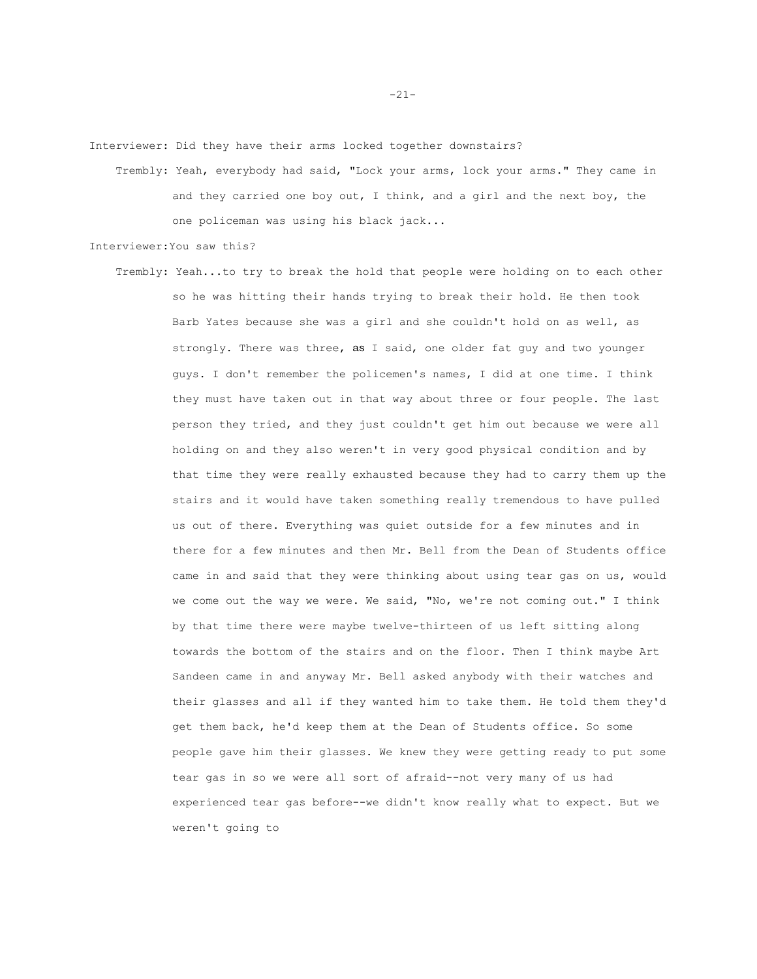Interviewer: Did they have their arms locked together downstairs?

 Trembly: Yeah, everybody had said, "Lock your arms, lock your arms." They came in and they carried one boy out, I think, and a girl and the next boy, the one policeman was using his black jack...

Interviewer:You saw this?

 Trembly: Yeah...to try to break the hold that people were holding on to each other so he was hitting their hands trying to break their hold. He then took Barb Yates because she was a girl and she couldn't hold on as well, as strongly. There was three, as I said, one older fat guy and two younger guys. I don't remember the policemen's names, I did at one time. I think they must have taken out in that way about three or four people. The last person they tried, and they just couldn't get him out because we were all holding on and they also weren't in very good physical condition and by that time they were really exhausted because they had to carry them up the stairs and it would have taken something really tremendous to have pulled us out of there. Everything was quiet outside for a few minutes and in there for a few minutes and then Mr. Bell from the Dean of Students office came in and said that they were thinking about using tear gas on us, would we come out the way we were. We said, "No, we're not coming out." I think by that time there were maybe twelve-thirteen of us left sitting along towards the bottom of the stairs and on the floor. Then I think maybe Art Sandeen came in and anyway Mr. Bell asked anybody with their watches and their glasses and all if they wanted him to take them. He told them they'd get them back, he'd keep them at the Dean of Students office. So some people gave him their glasses. We knew they were getting ready to put some tear gas in so we were all sort of afraid--not very many of us had experienced tear gas before--we didn't know really what to expect. But we weren't going to

-21-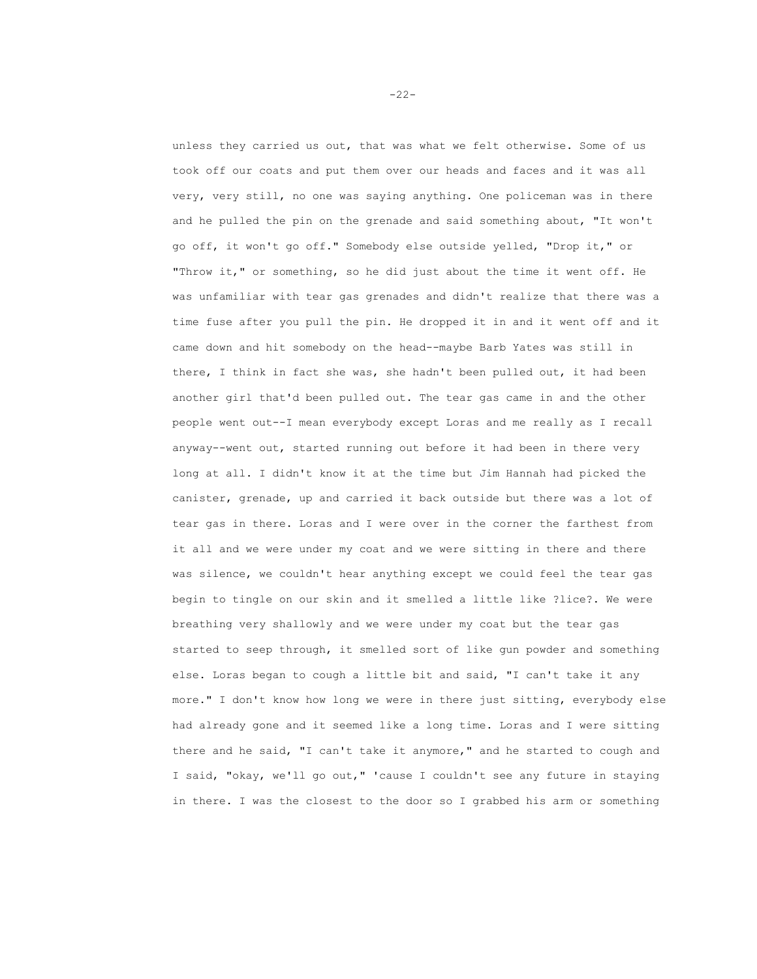unless they carried us out, that was what we felt otherwise. Some of us took off our coats and put them over our heads and faces and it was all very, very still, no one was saying anything. One policeman was in there and he pulled the pin on the grenade and said something about, "It won't go off, it won't go off." Somebody else outside yelled, "Drop it," or "Throw it," or something, so he did just about the time it went off. He was unfamiliar with tear gas grenades and didn't realize that there was a time fuse after you pull the pin. He dropped it in and it went off and it came down and hit somebody on the head--maybe Barb Yates was still in there, I think in fact she was, she hadn't been pulled out, it had been another girl that'd been pulled out. The tear gas came in and the other people went out--I mean everybody except Loras and me really as I recall anyway--went out, started running out before it had been in there very long at all. I didn't know it at the time but Jim Hannah had picked the canister, grenade, up and carried it back outside but there was a lot of tear gas in there. Loras and I were over in the corner the farthest from it all and we were under my coat and we were sitting in there and there was silence, we couldn't hear anything except we could feel the tear gas begin to tingle on our skin and it smelled a little like ?lice?. We were breathing very shallowly and we were under my coat but the tear gas started to seep through, it smelled sort of like gun powder and something else. Loras began to cough a little bit and said, "I can't take it any more." I don't know how long we were in there just sitting, everybody else had already gone and it seemed like a long time. Loras and I were sitting there and he said, "I can't take it anymore," and he started to cough and I said, "okay, we'll go out," 'cause I couldn't see any future in staying in there. I was the closest to the door so I grabbed his arm or something

-22-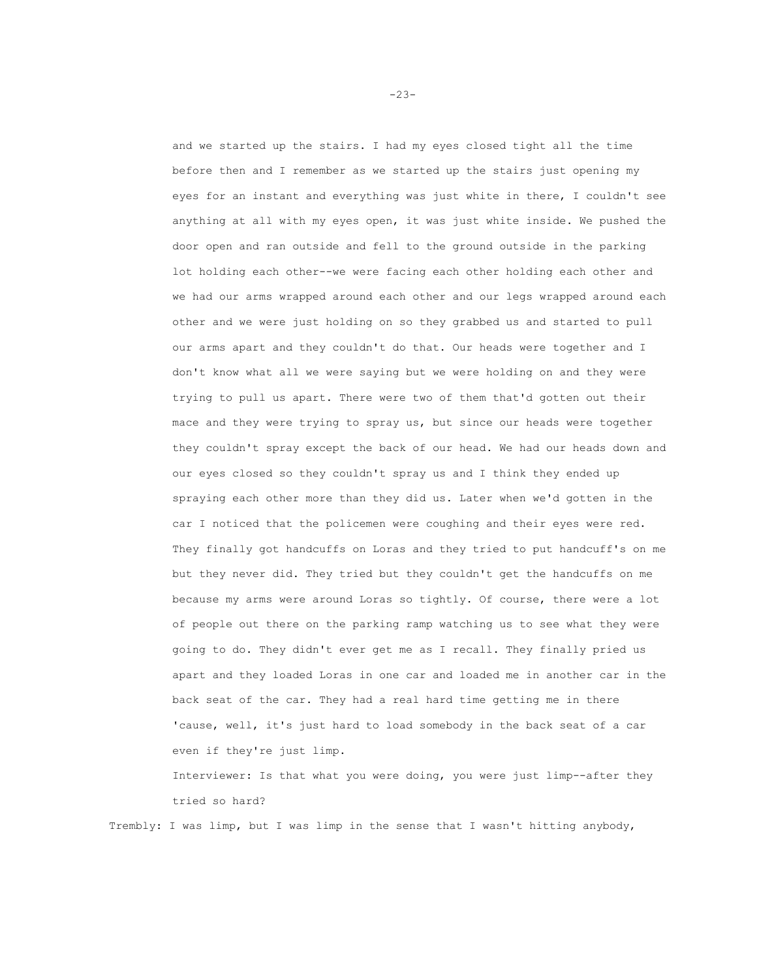and we started up the stairs. I had my eyes closed tight all the time before then and I remember as we started up the stairs just opening my eyes for an instant and everything was just white in there, I couldn't see anything at all with my eyes open, it was just white inside. We pushed the door open and ran outside and fell to the ground outside in the parking lot holding each other--we were facing each other holding each other and we had our arms wrapped around each other and our legs wrapped around each other and we were just holding on so they grabbed us and started to pull our arms apart and they couldn't do that. Our heads were together and I don't know what all we were saying but we were holding on and they were trying to pull us apart. There were two of them that'd gotten out their mace and they were trying to spray us, but since our heads were together they couldn't spray except the back of our head. We had our heads down and our eyes closed so they couldn't spray us and I think they ended up spraying each other more than they did us. Later when we'd gotten in the car I noticed that the policemen were coughing and their eyes were red. They finally got handcuffs on Loras and they tried to put handcuff's on me but they never did. They tried but they couldn't get the handcuffs on me because my arms were around Loras so tightly. Of course, there were a lot of people out there on the parking ramp watching us to see what they were going to do. They didn't ever get me as I recall. They finally pried us apart and they loaded Loras in one car and loaded me in another car in the back seat of the car. They had a real hard time getting me in there 'cause, well, it's just hard to load somebody in the back seat of a car even if they're just limp.

Interviewer: Is that what you were doing, you were just limp--after they tried so hard?

Trembly: I was limp, but I was limp in the sense that I wasn't hitting anybody,

-23-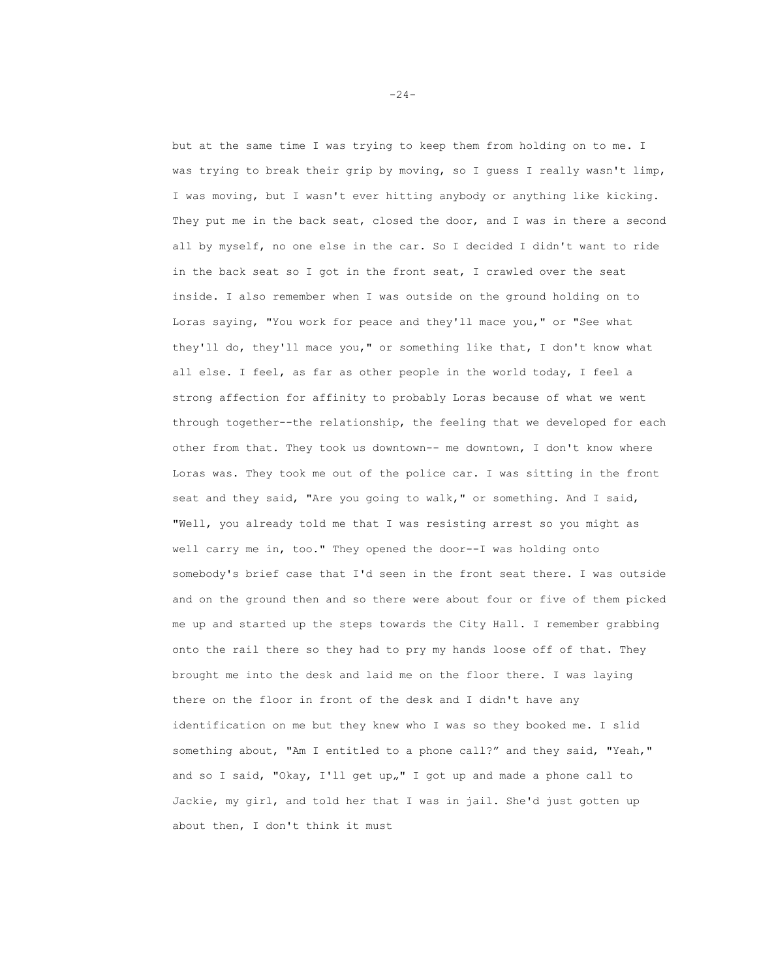but at the same time I was trying to keep them from holding on to me. I was trying to break their grip by moving, so I guess I really wasn't limp, I was moving, but I wasn't ever hitting anybody or anything like kicking. They put me in the back seat, closed the door, and I was in there a second all by myself, no one else in the car. So I decided I didn't want to ride in the back seat so I got in the front seat, I crawled over the seat inside. I also remember when I was outside on the ground holding on to Loras saying, "You work for peace and they'll mace you," or "See what they'll do, they'll mace you," or something like that, I don't know what all else. I feel, as far as other people in the world today, I feel a strong affection for affinity to probably Loras because of what we went through together--the relationship, the feeling that we developed for each other from that. They took us downtown-- me downtown, I don't know where Loras was. They took me out of the police car. I was sitting in the front seat and they said, "Are you going to walk," or something. And I said, "Well, you already told me that I was resisting arrest so you might as well carry me in, too." They opened the door--I was holding onto somebody's brief case that I'd seen in the front seat there. I was outside and on the ground then and so there were about four or five of them picked me up and started up the steps towards the City Hall. I remember grabbing onto the rail there so they had to pry my hands loose off of that. They brought me into the desk and laid me on the floor there. I was laying there on the floor in front of the desk and I didn't have any identification on me but they knew who I was so they booked me. I slid something about, "Am I entitled to a phone call?" and they said, "Yeah," and so I said, "Okay, I'll get up"" I got up and made a phone call to Jackie, my girl, and told her that I was in jail. She'd just gotten up about then, I don't think it must

-24-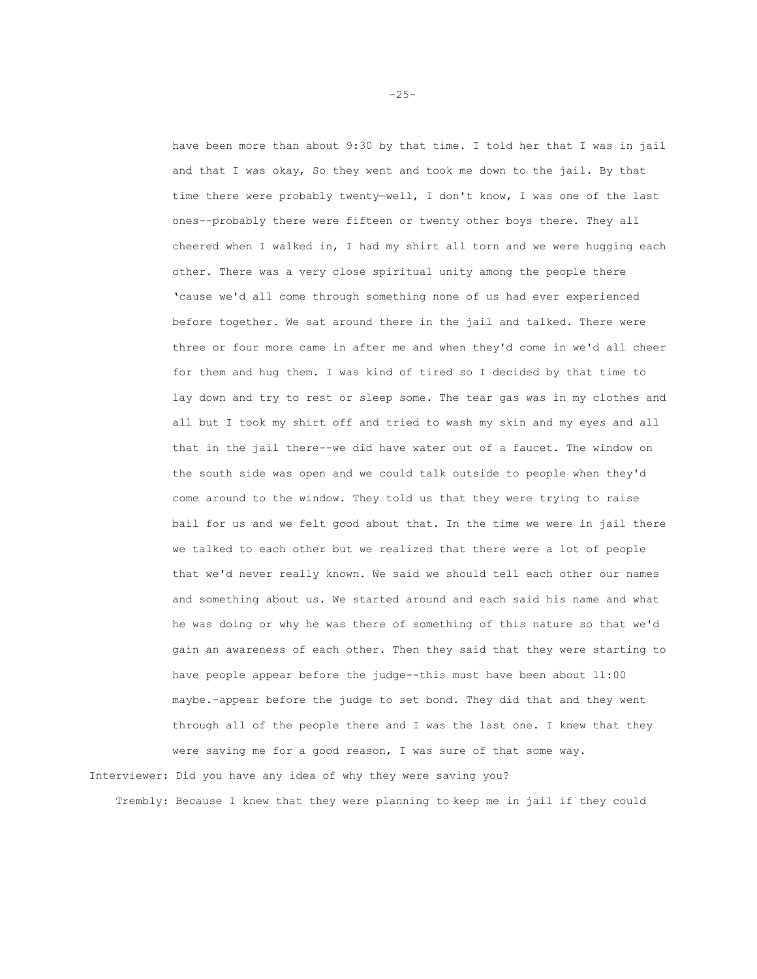have been more than about 9:30 by that time. I told her that I was in jail and that I was okay, So they went and took me down to the jail. By that time there were probably twenty—well, I don't know, I was one of the last ones--probably there were fifteen or twenty other boys there. They all cheered when I walked in, I had my shirt all torn and we were hugging each other. There was a very close spiritual unity among the people there 'cause we'd all come through something none of us had ever experienced before together. We sat around there in the jail and talked. There were three or four more came in after me and when they'd come in we'd all cheer for them and hug them. I was kind of tired so I decided by that time to lay down and try to rest or sleep some. The tear gas was in my clothes and all but I took my shirt off and tried to wash my skin and my eyes and all that in the jail there--we did have water out of a faucet. The window on the south side was open and we could talk outside to people when they'd come around to the window. They told us that they were trying to raise bail for us and we felt good about that. In the time we were in jail there we talked to each other but we realized that there were a lot of people that we'd never really known. We said we should tell each other our names and something about us. We started around and each said his name and what he was doing or why he was there of something of this nature so that we'd gain an awareness of each other. Then they said that they were starting to have people appear before the judge--this must have been about 11:00 maybe.-appear before the judge to set bond. They did that and they went through all of the people there and I was the last one. I knew that they were saving me for a good reason, I was sure of that some way. Interviewer: Did you have any idea of why they were saving you?

Trembly: Because I knew that they were planning to keep me in jail if they could

-25-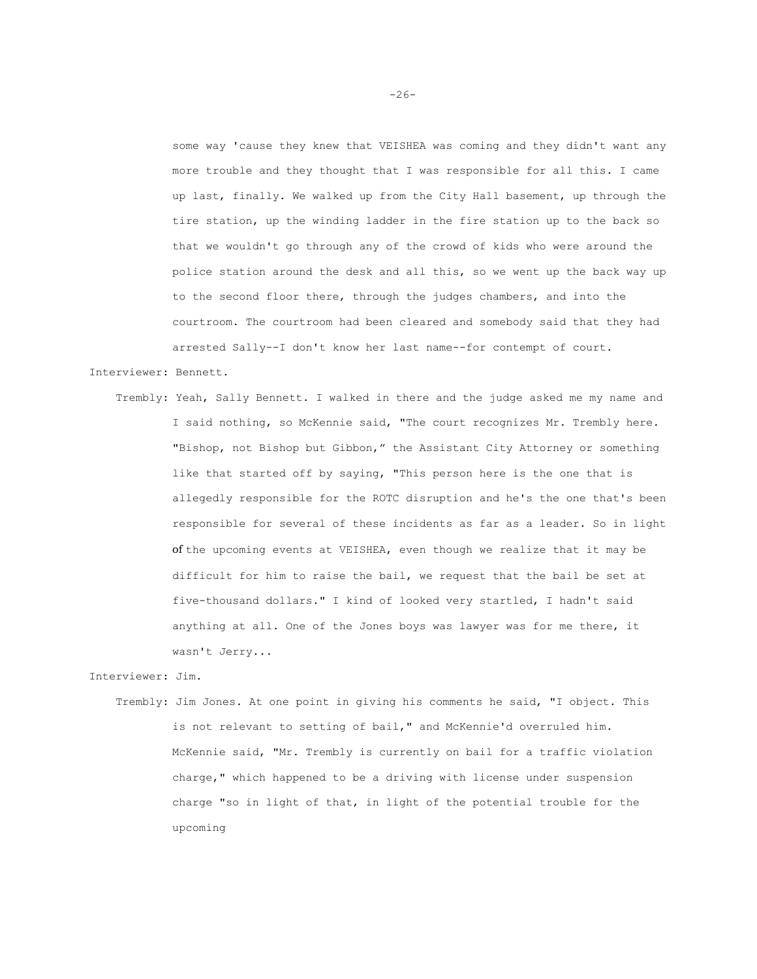some way 'cause they knew that VEISHEA was coming and they didn't want any more trouble and they thought that I was responsible for all this. I came up last, finally. We walked up from the City Hall basement, up through the tire station, up the winding ladder in the fire station up to the back so that we wouldn't go through any of the crowd of kids who were around the police station around the desk and all this, so we went up the back way up to the second floor there, through the judges chambers, and into the courtroom. The courtroom had been cleared and somebody said that they had arrested Sally--I don't know her last name--for contempt of court.

## Interviewer: Bennett.

 Trembly: Yeah, Sally Bennett. I walked in there and the judge asked me my name and I said nothing, so McKennie said, "The court recognizes Mr. Trembly here. "Bishop, not Bishop but Gibbon," the Assistant City Attorney or something like that started off by saying, "This person here is the one that is allegedly responsible for the ROTC disruption and he's the one that's been responsible for several of these incidents as far as a leader. So in light of the upcoming events at VEISHEA, even though we realize that it may be difficult for him to raise the bail, we request that the bail be set at five-thousand dollars." I kind of looked very startled, I hadn't said anything at all. One of the Jones boys was lawyer was for me there, it wasn't Jerry...

## Interviewer: Jim.

 Trembly: Jim Jones. At one point in giving his comments he said, "I object. This is not relevant to setting of bail," and McKennie'd overruled him. McKennie said, "Mr. Trembly is currently on bail for a traffic violation charge," which happened to be a driving with license under suspension charge "so in light of that, in light of the potential trouble for the upcoming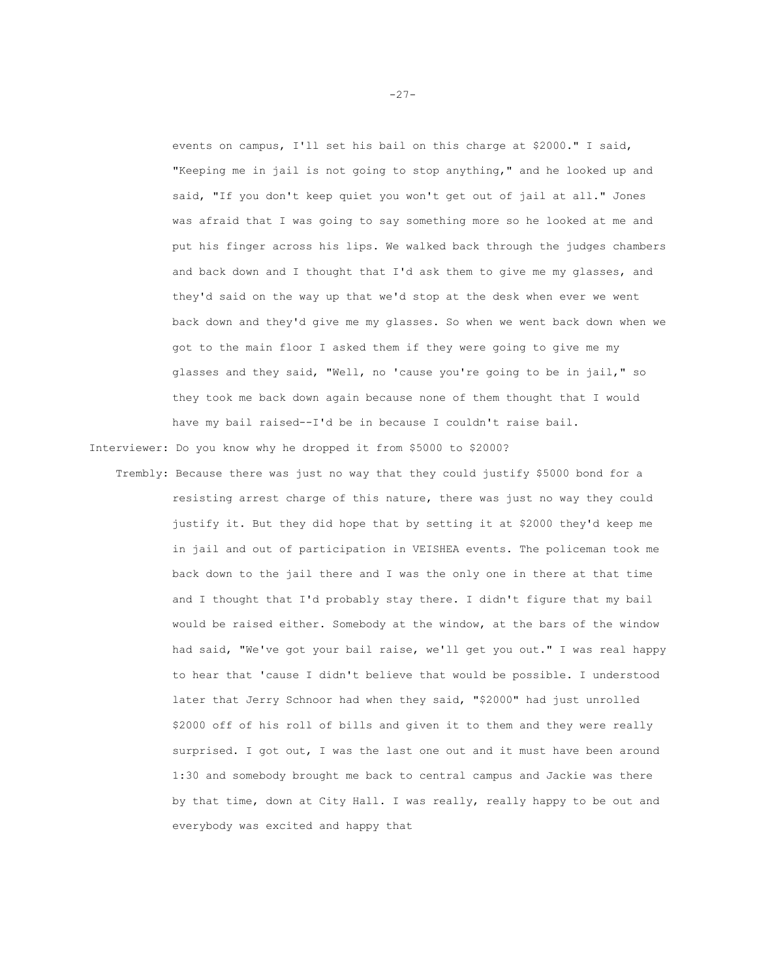events on campus, I'll set his bail on this charge at \$2000." I said, "Keeping me in jail is not going to stop anything," and he looked up and said, "If you don't keep quiet you won't get out of jail at all." Jones was afraid that I was going to say something more so he looked at me and put his finger across his lips. We walked back through the judges chambers and back down and I thought that I'd ask them to give me my glasses, and they'd said on the way up that we'd stop at the desk when ever we went back down and they'd give me my glasses. So when we went back down when we got to the main floor I asked them if they were going to give me my glasses and they said, "Well, no 'cause you're going to be in jail," so they took me back down again because none of them thought that I would have my bail raised--I'd be in because I couldn't raise bail.

Interviewer: Do you know why he dropped it from \$5000 to \$2000?

 Trembly: Because there was just no way that they could justify \$5000 bond for a resisting arrest charge of this nature, there was just no way they could justify it. But they did hope that by setting it at \$2000 they'd keep me in jail and out of participation in VEISHEA events. The policeman took me back down to the jail there and I was the only one in there at that time and I thought that I'd probably stay there. I didn't figure that my bail would be raised either. Somebody at the window, at the bars of the window had said, "We've got your bail raise, we'll get you out." I was real happy to hear that 'cause I didn't believe that would be possible. I understood later that Jerry Schnoor had when they said, "\$2000" had just unrolled \$2000 off of his roll of bills and given it to them and they were really surprised. I got out, I was the last one out and it must have been around 1:30 and somebody brought me back to central campus and Jackie was there by that time, down at City Hall. I was really, really happy to be out and everybody was excited and happy that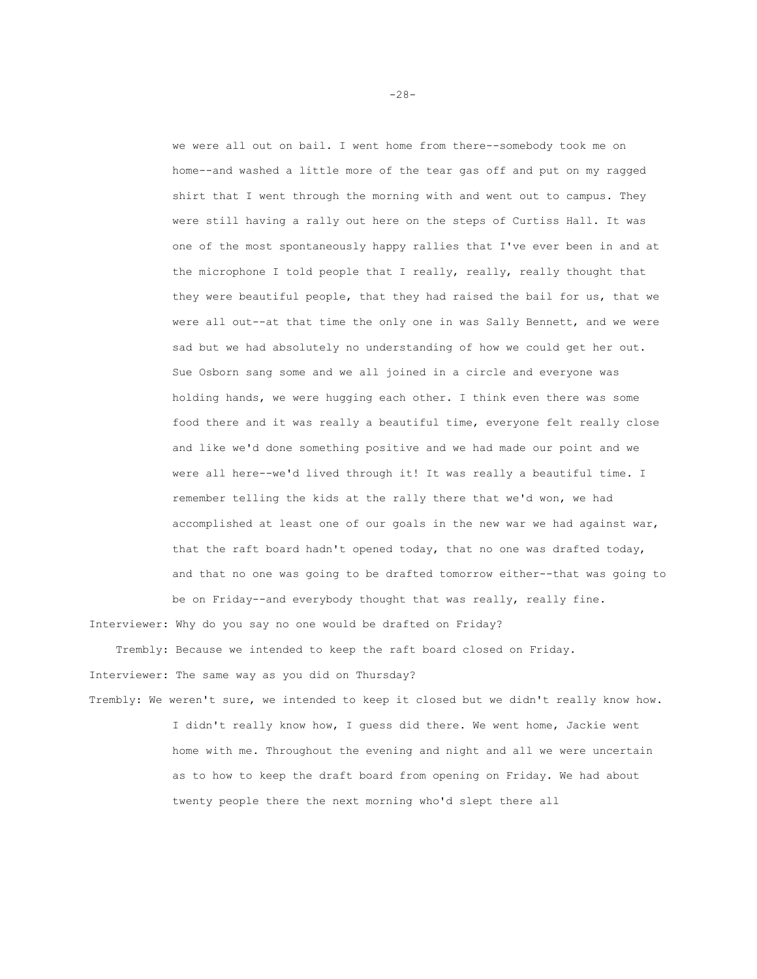we were all out on bail. I went home from there--somebody took me on home--and washed a little more of the tear gas off and put on my ragged shirt that I went through the morning with and went out to campus. They were still having a rally out here on the steps of Curtiss Hall. It was one of the most spontaneously happy rallies that I've ever been in and at the microphone I told people that I really, really, really thought that they were beautiful people, that they had raised the bail for us, that we were all out--at that time the only one in was Sally Bennett, and we were sad but we had absolutely no understanding of how we could get her out. Sue Osborn sang some and we all joined in a circle and everyone was holding hands, we were hugging each other. I think even there was some food there and it was really a beautiful time, everyone felt really close and like we'd done something positive and we had made our point and we were all here--we'd lived through it! It was really a beautiful time. I remember telling the kids at the rally there that we'd won, we had accomplished at least one of our goals in the new war we had against war, that the raft board hadn't opened today, that no one was drafted today, and that no one was going to be drafted tomorrow either--that was going to be on Friday--and everybody thought that was really, really fine.

Interviewer: Why do you say no one would be drafted on Friday?

 Trembly: Because we intended to keep the raft board closed on Friday. Interviewer: The same way as you did on Thursday?

Trembly: We weren't sure, we intended to keep it closed but we didn't really know how. I didn't really know how, I guess did there. We went home, Jackie went home with me. Throughout the evening and night and all we were uncertain as to how to keep the draft board from opening on Friday. We had about twenty people there the next morning who'd slept there all